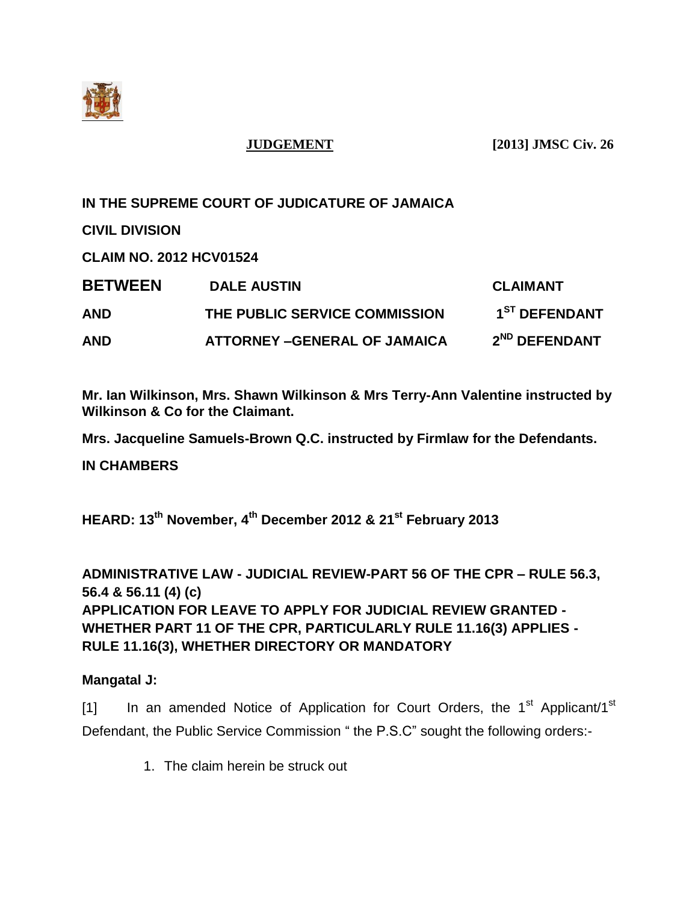

**IN THE SUPREME COURT OF JUDICATURE OF JAMAICA**

**CIVIL DIVISION**

**CLAIM NO. 2012 HCV01524**

| <b>BETWEEN</b> | <b>DALE AUSTIN</b>                 | <b>CLAIMANT</b>           |
|----------------|------------------------------------|---------------------------|
| AND            | THE PUBLIC SERVICE COMMISSION      | 1 <sup>ST</sup> DEFENDANT |
| AND            | <b>ATTORNEY-GENERAL OF JAMAICA</b> | 2 <sup>ND</sup> DEFENDANT |

**Mr. Ian Wilkinson, Mrs. Shawn Wilkinson & Mrs Terry-Ann Valentine instructed by Wilkinson & Co for the Claimant.**

**Mrs. Jacqueline Samuels-Brown Q.C. instructed by Firmlaw for the Defendants.**

**IN CHAMBERS**

**HEARD: 13th November, 4th December 2012 & 21st February 2013**

**ADMINISTRATIVE LAW - JUDICIAL REVIEW-PART 56 OF THE CPR – RULE 56.3, 56.4 & 56.11 (4) (c) APPLICATION FOR LEAVE TO APPLY FOR JUDICIAL REVIEW GRANTED - WHETHER PART 11 OF THE CPR, PARTICULARLY RULE 11.16(3) APPLIES - RULE 11.16(3), WHETHER DIRECTORY OR MANDATORY** 

### **Mangatal J:**

[1] In an amended Notice of Application for Court Orders, the 1<sup>st</sup> Applicant/1<sup>st</sup> Defendant, the Public Service Commission " the P.S.C" sought the following orders:-

1. The claim herein be struck out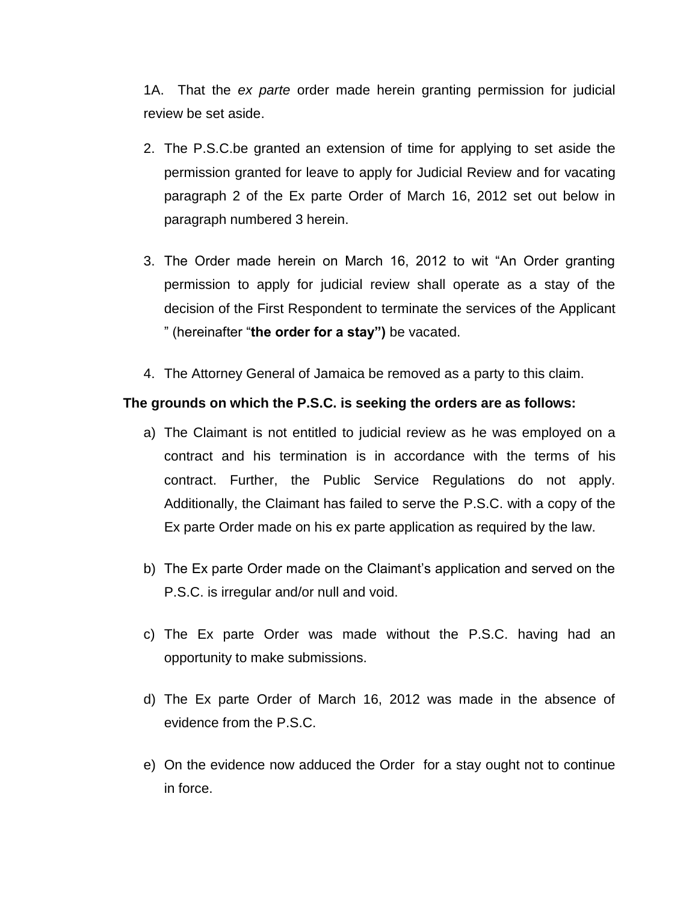1A. That the *ex parte* order made herein granting permission for judicial review be set aside.

- 2. The P.S.C.be granted an extension of time for applying to set aside the permission granted for leave to apply for Judicial Review and for vacating paragraph 2 of the Ex parte Order of March 16, 2012 set out below in paragraph numbered 3 herein.
- 3. The Order made herein on March 16, 2012 to wit "An Order granting permission to apply for judicial review shall operate as a stay of the decision of the First Respondent to terminate the services of the Applicant " (hereinafter "**the order for a stay")** be vacated.
- 4. The Attorney General of Jamaica be removed as a party to this claim.

#### **The grounds on which the P.S.C. is seeking the orders are as follows:**

- a) The Claimant is not entitled to judicial review as he was employed on a contract and his termination is in accordance with the terms of his contract. Further, the Public Service Regulations do not apply. Additionally, the Claimant has failed to serve the P.S.C. with a copy of the Ex parte Order made on his ex parte application as required by the law.
- b) The Ex parte Order made on the Claimant's application and served on the P.S.C. is irregular and/or null and void.
- c) The Ex parte Order was made without the P.S.C. having had an opportunity to make submissions.
- d) The Ex parte Order of March 16, 2012 was made in the absence of evidence from the P.S.C.
- e) On the evidence now adduced the Order for a stay ought not to continue in force.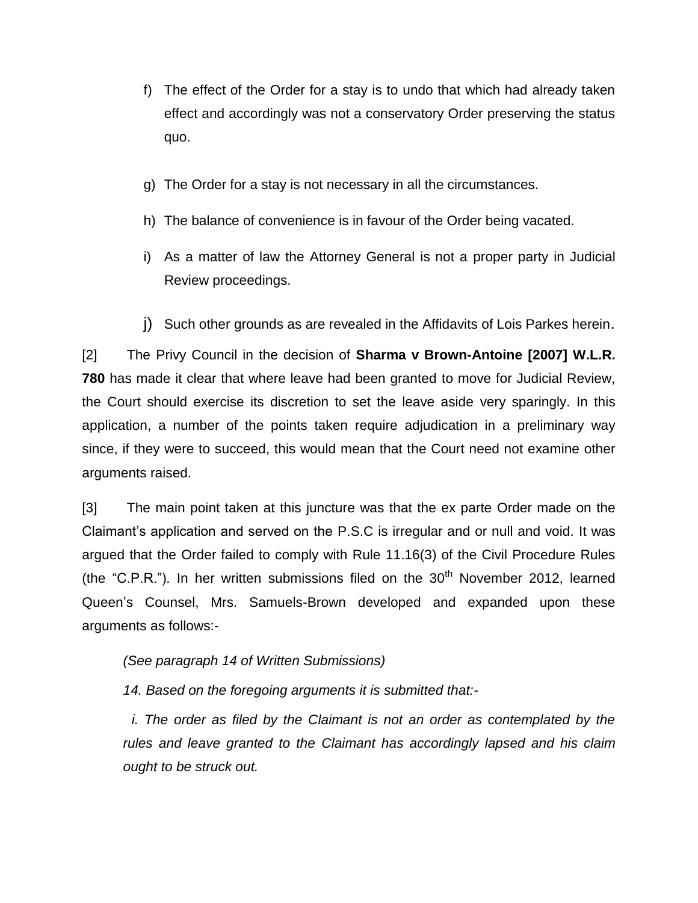- f) The effect of the Order for a stay is to undo that which had already taken effect and accordingly was not a conservatory Order preserving the status quo.
- g) The Order for a stay is not necessary in all the circumstances.
- h) The balance of convenience is in favour of the Order being vacated.
- i) As a matter of law the Attorney General is not a proper party in Judicial Review proceedings.
- j) Such other grounds as are revealed in the Affidavits of Lois Parkes herein.

[2] The Privy Council in the decision of **Sharma v Brown-Antoine [2007] W.L.R. 780** has made it clear that where leave had been granted to move for Judicial Review, the Court should exercise its discretion to set the leave aside very sparingly. In this application, a number of the points taken require adjudication in a preliminary way since, if they were to succeed, this would mean that the Court need not examine other arguments raised.

[3] The main point taken at this juncture was that the ex parte Order made on the Claimant's application and served on the P.S.C is irregular and or null and void. It was argued that the Order failed to comply with Rule 11.16(3) of the Civil Procedure Rules (the "C.P.R."). In her written submissions filed on the  $30<sup>th</sup>$  November 2012, learned Queen's Counsel, Mrs. Samuels-Brown developed and expanded upon these arguments as follows:-

*(See paragraph 14 of Written Submissions)*

*14. Based on the foregoing arguments it is submitted that:-*

*i. The order as filed by the Claimant is not an order as contemplated by the rules and leave granted to the Claimant has accordingly lapsed and his claim ought to be struck out.*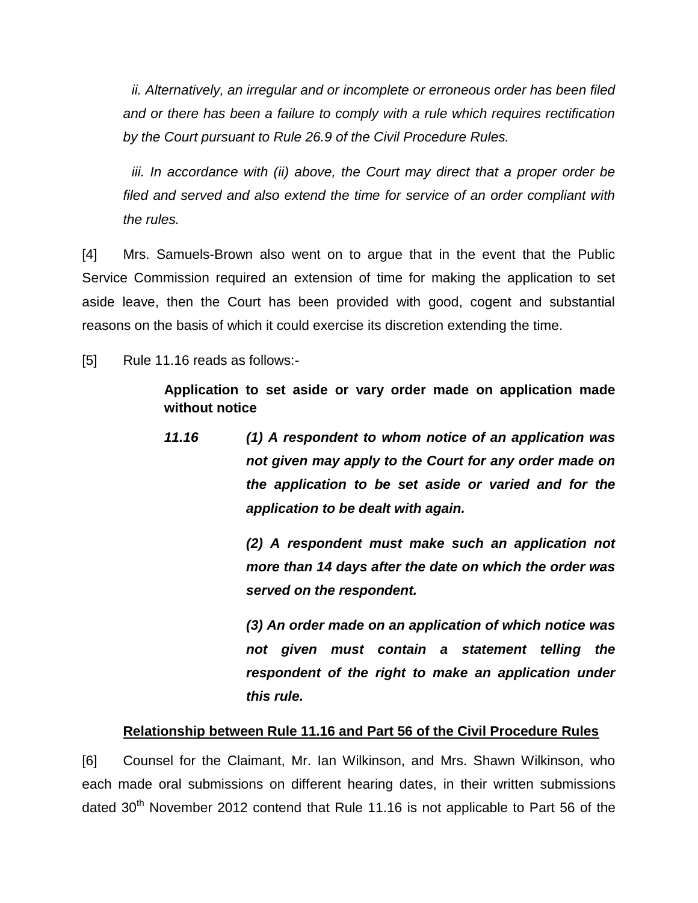*ii. Alternatively, an irregular and or incomplete or erroneous order has been filed and or there has been a failure to comply with a rule which requires rectification by the Court pursuant to Rule 26.9 of the Civil Procedure Rules.*

iii. In accordance with (ii) above, the Court may direct that a proper order be *filed and served and also extend the time for service of an order compliant with the rules.*

[4] Mrs. Samuels-Brown also went on to argue that in the event that the Public Service Commission required an extension of time for making the application to set aside leave, then the Court has been provided with good, cogent and substantial reasons on the basis of which it could exercise its discretion extending the time.

[5] Rule 11.16 reads as follows:-

**Application to set aside or vary order made on application made without notice**

*11.16 (1) A respondent to whom notice of an application was not given may apply to the Court for any order made on the application to be set aside or varied and for the application to be dealt with again.*

> *(2) A respondent must make such an application not more than 14 days after the date on which the order was served on the respondent.*

> *(3) An order made on an application of which notice was not given must contain a statement telling the respondent of the right to make an application under this rule.*

### **Relationship between Rule 11.16 and Part 56 of the Civil Procedure Rules**

[6] Counsel for the Claimant, Mr. Ian Wilkinson, and Mrs. Shawn Wilkinson, who each made oral submissions on different hearing dates, in their written submissions dated  $30<sup>th</sup>$  November 2012 contend that Rule 11.16 is not applicable to Part 56 of the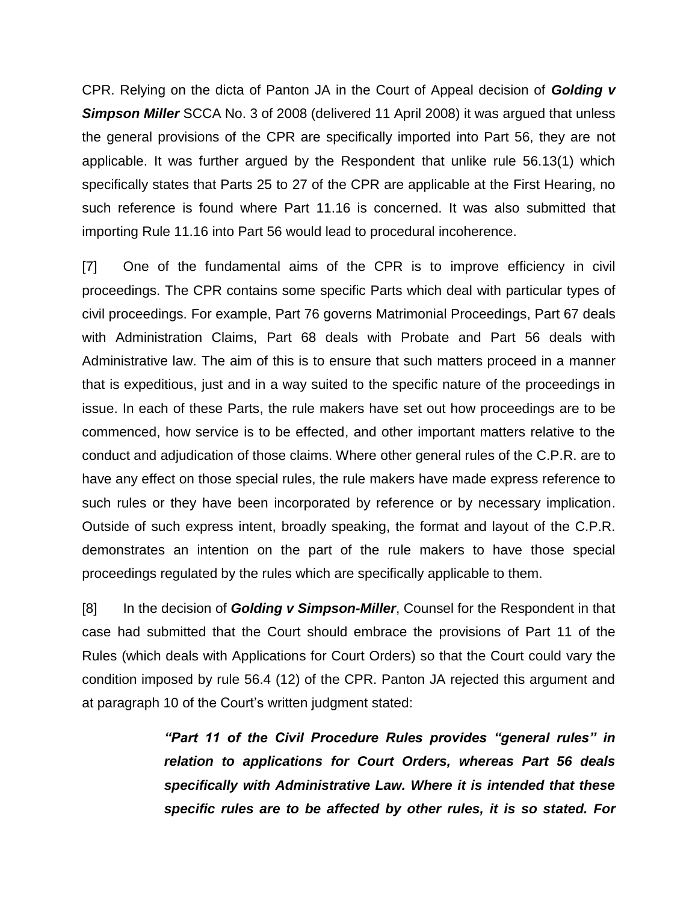CPR. Relying on the dicta of Panton JA in the Court of Appeal decision of *Golding v*  **Simpson Miller** SCCA No. 3 of 2008 (delivered 11 April 2008) it was argued that unless the general provisions of the CPR are specifically imported into Part 56, they are not applicable. It was further argued by the Respondent that unlike rule 56.13(1) which specifically states that Parts 25 to 27 of the CPR are applicable at the First Hearing, no such reference is found where Part 11.16 is concerned. It was also submitted that importing Rule 11.16 into Part 56 would lead to procedural incoherence.

[7] One of the fundamental aims of the CPR is to improve efficiency in civil proceedings. The CPR contains some specific Parts which deal with particular types of civil proceedings. For example, Part 76 governs Matrimonial Proceedings, Part 67 deals with Administration Claims, Part 68 deals with Probate and Part 56 deals with Administrative law. The aim of this is to ensure that such matters proceed in a manner that is expeditious, just and in a way suited to the specific nature of the proceedings in issue. In each of these Parts, the rule makers have set out how proceedings are to be commenced, how service is to be effected, and other important matters relative to the conduct and adjudication of those claims. Where other general rules of the C.P.R. are to have any effect on those special rules, the rule makers have made express reference to such rules or they have been incorporated by reference or by necessary implication. Outside of such express intent, broadly speaking, the format and layout of the C.P.R. demonstrates an intention on the part of the rule makers to have those special proceedings regulated by the rules which are specifically applicable to them.

[8] In the decision of *Golding v Simpson-Miller*, Counsel for the Respondent in that case had submitted that the Court should embrace the provisions of Part 11 of the Rules (which deals with Applications for Court Orders) so that the Court could vary the condition imposed by rule 56.4 (12) of the CPR. Panton JA rejected this argument and at paragraph 10 of the Court's written judgment stated:

> *"Part 11 of the Civil Procedure Rules provides "general rules" in relation to applications for Court Orders, whereas Part 56 deals specifically with Administrative Law. Where it is intended that these specific rules are to be affected by other rules, it is so stated. For*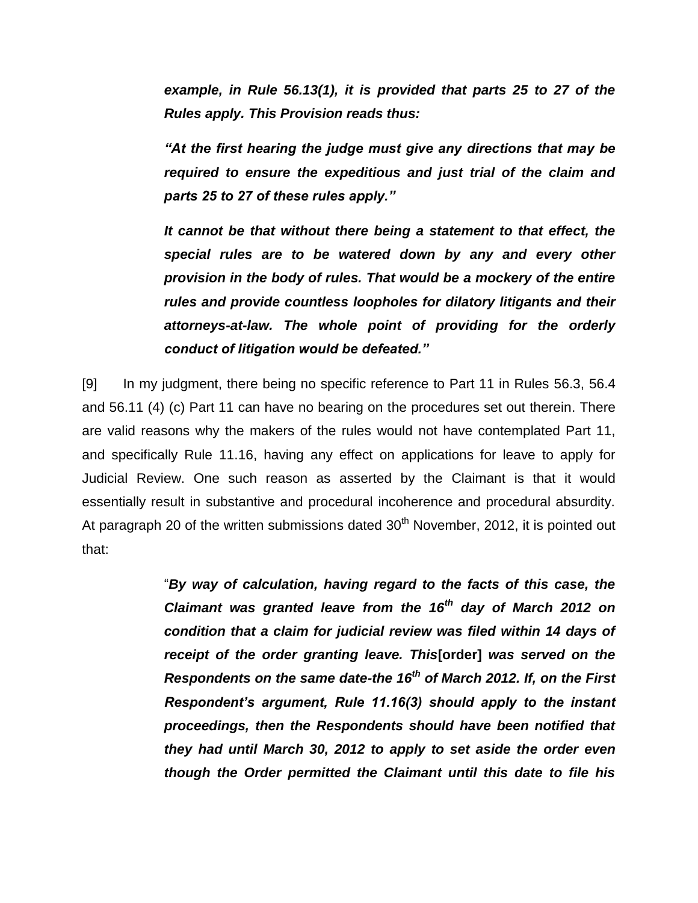*example, in Rule 56.13(1), it is provided that parts 25 to 27 of the Rules apply. This Provision reads thus:*

*"At the first hearing the judge must give any directions that may be required to ensure the expeditious and just trial of the claim and parts 25 to 27 of these rules apply."*

*It cannot be that without there being a statement to that effect, the special rules are to be watered down by any and every other provision in the body of rules. That would be a mockery of the entire rules and provide countless loopholes for dilatory litigants and their attorneys-at-law. The whole point of providing for the orderly conduct of litigation would be defeated."*

[9] In my judgment, there being no specific reference to Part 11 in Rules 56.3, 56.4 and 56.11 (4) (c) Part 11 can have no bearing on the procedures set out therein. There are valid reasons why the makers of the rules would not have contemplated Part 11, and specifically Rule 11.16, having any effect on applications for leave to apply for Judicial Review. One such reason as asserted by the Claimant is that it would essentially result in substantive and procedural incoherence and procedural absurdity. At paragraph 20 of the written submissions dated  $30<sup>th</sup>$  November, 2012, it is pointed out that:

> "*By way of calculation, having regard to the facts of this case, the Claimant was granted leave from the 16th day of March 2012 on condition that a claim for judicial review was filed within 14 days of receipt of the order granting leave. This***[order]** *was served on the Respondents on the same date-the 16th of March 2012. If, on the First Respondent's argument, Rule 11.16(3) should apply to the instant proceedings, then the Respondents should have been notified that they had until March 30, 2012 to apply to set aside the order even though the Order permitted the Claimant until this date to file his*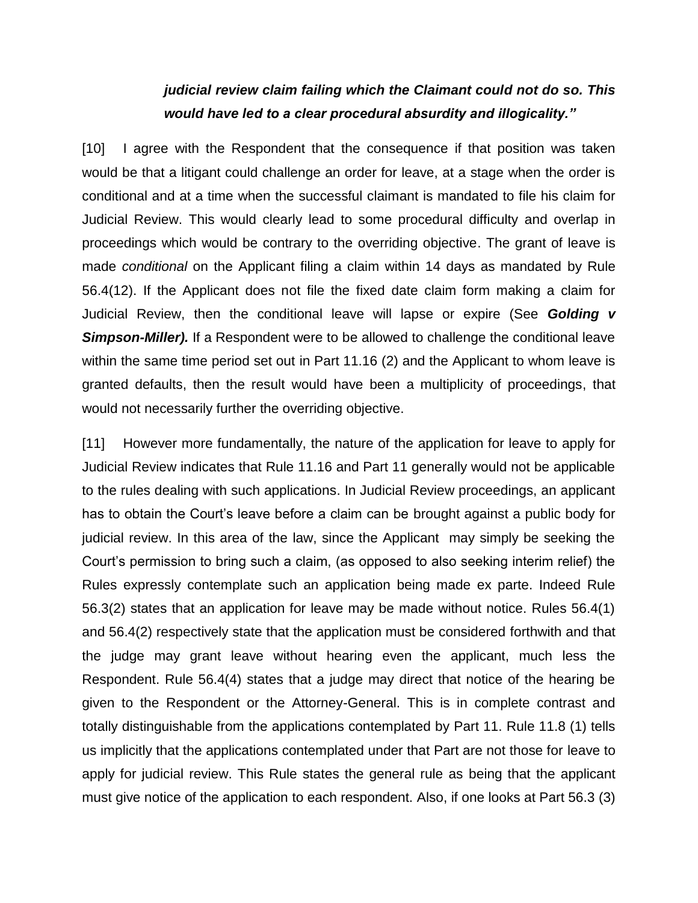# *judicial review claim failing which the Claimant could not do so. This would have led to a clear procedural absurdity and illogicality."*

[10] I agree with the Respondent that the consequence if that position was taken would be that a litigant could challenge an order for leave, at a stage when the order is conditional and at a time when the successful claimant is mandated to file his claim for Judicial Review. This would clearly lead to some procedural difficulty and overlap in proceedings which would be contrary to the overriding objective. The grant of leave is made *conditional* on the Applicant filing a claim within 14 days as mandated by Rule 56.4(12). If the Applicant does not file the fixed date claim form making a claim for Judicial Review, then the conditional leave will lapse or expire (See *Golding v*  **Simpson-Miller).** If a Respondent were to be allowed to challenge the conditional leave within the same time period set out in Part 11.16 (2) and the Applicant to whom leave is granted defaults, then the result would have been a multiplicity of proceedings, that would not necessarily further the overriding objective.

[11] However more fundamentally, the nature of the application for leave to apply for Judicial Review indicates that Rule 11.16 and Part 11 generally would not be applicable to the rules dealing with such applications. In Judicial Review proceedings, an applicant has to obtain the Court's leave before a claim can be brought against a public body for judicial review. In this area of the law, since the Applicant may simply be seeking the Court's permission to bring such a claim, (as opposed to also seeking interim relief) the Rules expressly contemplate such an application being made ex parte. Indeed Rule 56.3(2) states that an application for leave may be made without notice. Rules 56.4(1) and 56.4(2) respectively state that the application must be considered forthwith and that the judge may grant leave without hearing even the applicant, much less the Respondent. Rule 56.4(4) states that a judge may direct that notice of the hearing be given to the Respondent or the Attorney-General. This is in complete contrast and totally distinguishable from the applications contemplated by Part 11. Rule 11.8 (1) tells us implicitly that the applications contemplated under that Part are not those for leave to apply for judicial review. This Rule states the general rule as being that the applicant must give notice of the application to each respondent. Also, if one looks at Part 56.3 (3)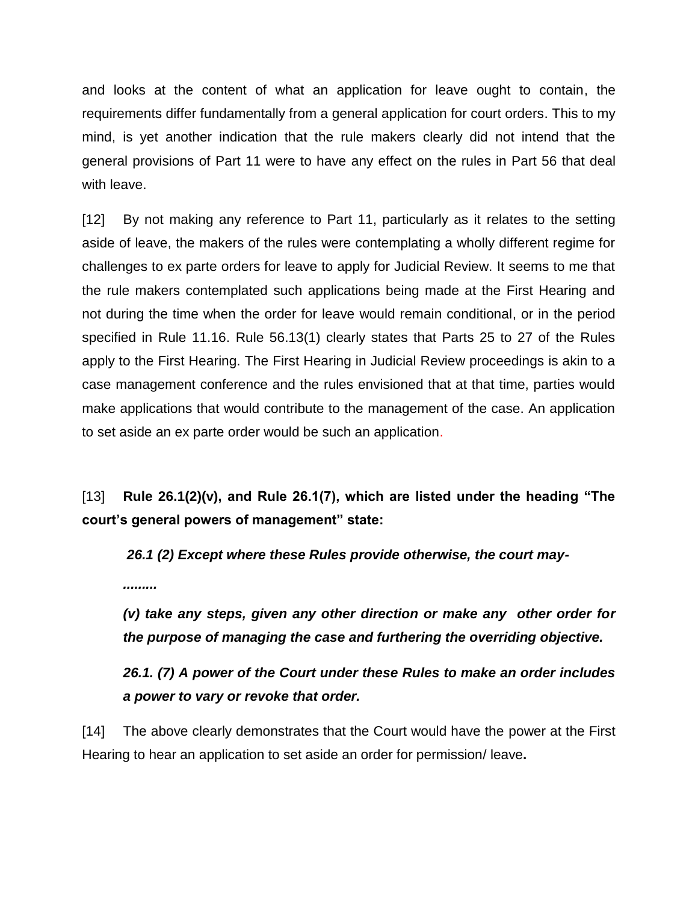and looks at the content of what an application for leave ought to contain, the requirements differ fundamentally from a general application for court orders. This to my mind, is yet another indication that the rule makers clearly did not intend that the general provisions of Part 11 were to have any effect on the rules in Part 56 that deal with leave.

[12] By not making any reference to Part 11, particularly as it relates to the setting aside of leave, the makers of the rules were contemplating a wholly different regime for challenges to ex parte orders for leave to apply for Judicial Review. It seems to me that the rule makers contemplated such applications being made at the First Hearing and not during the time when the order for leave would remain conditional, or in the period specified in Rule 11.16. Rule 56.13(1) clearly states that Parts 25 to 27 of the Rules apply to the First Hearing. The First Hearing in Judicial Review proceedings is akin to a case management conference and the rules envisioned that at that time, parties would make applications that would contribute to the management of the case. An application to set aside an ex parte order would be such an application.

[13] **Rule 26.1(2)(v), and Rule 26.1(7), which are listed under the heading "The court's general powers of management" state:**

*26.1 (2) Except where these Rules provide otherwise, the court may-*

*.........*

*(v) take any steps, given any other direction or make any other order for the purpose of managing the case and furthering the overriding objective.*

*26.1. (7) A power of the Court under these Rules to make an order includes a power to vary or revoke that order.*

[14] The above clearly demonstrates that the Court would have the power at the First Hearing to hear an application to set aside an order for permission/ leave**.**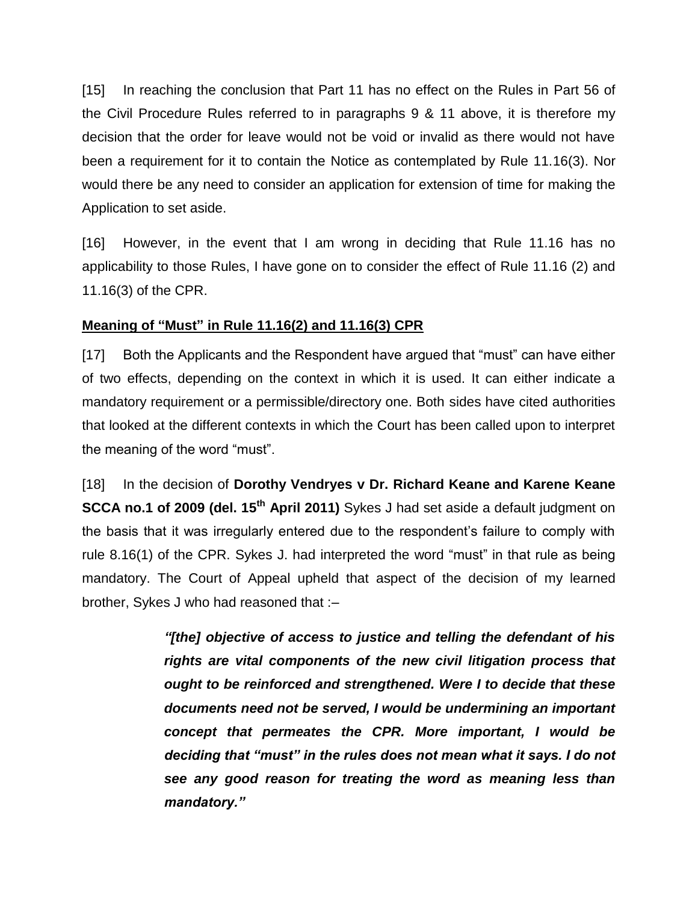[15] In reaching the conclusion that Part 11 has no effect on the Rules in Part 56 of the Civil Procedure Rules referred to in paragraphs 9 & 11 above, it is therefore my decision that the order for leave would not be void or invalid as there would not have been a requirement for it to contain the Notice as contemplated by Rule 11.16(3). Nor would there be any need to consider an application for extension of time for making the Application to set aside.

[16] However, in the event that I am wrong in deciding that Rule 11.16 has no applicability to those Rules, I have gone on to consider the effect of Rule 11.16 (2) and 11.16(3) of the CPR.

## **Meaning of "Must" in Rule 11.16(2) and 11.16(3) CPR**

[17] Both the Applicants and the Respondent have argued that "must" can have either of two effects, depending on the context in which it is used. It can either indicate a mandatory requirement or a permissible/directory one. Both sides have cited authorities that looked at the different contexts in which the Court has been called upon to interpret the meaning of the word "must".

[18] In the decision of **Dorothy Vendryes v Dr. Richard Keane and Karene Keane SCCA no.1 of 2009 (del. 15<sup>th</sup> April 2011)** Sykes J had set aside a default judgment on the basis that it was irregularly entered due to the respondent's failure to comply with rule 8.16(1) of the CPR. Sykes J. had interpreted the word "must" in that rule as being mandatory. The Court of Appeal upheld that aspect of the decision of my learned brother, Sykes J who had reasoned that :–

> *"[the] objective of access to justice and telling the defendant of his rights are vital components of the new civil litigation process that ought to be reinforced and strengthened. Were I to decide that these documents need not be served, I would be undermining an important concept that permeates the CPR. More important, I would be deciding that "must" in the rules does not mean what it says. I do not see any good reason for treating the word as meaning less than mandatory."*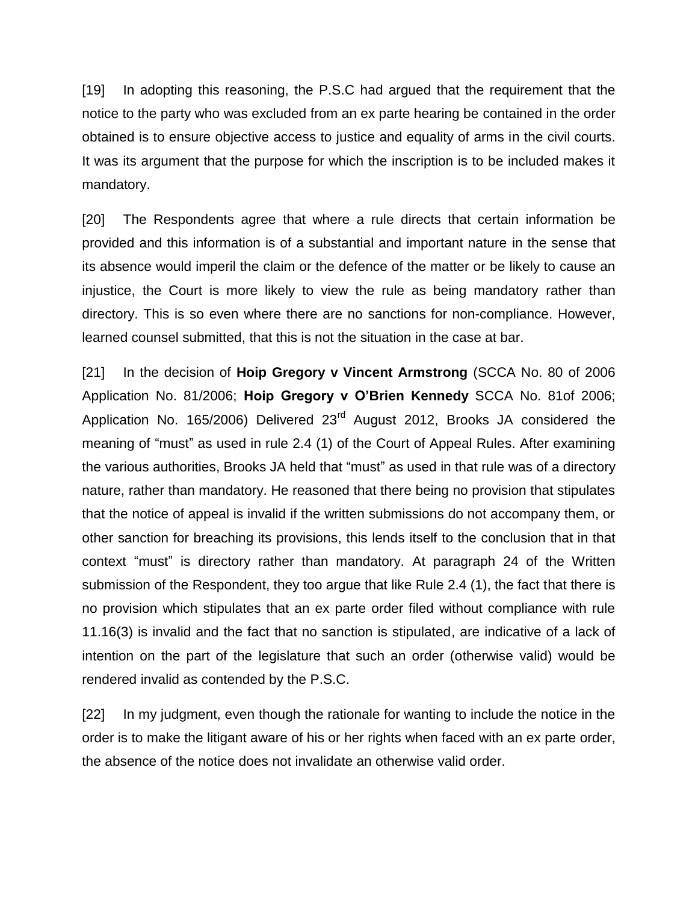[19] In adopting this reasoning, the P.S.C had argued that the requirement that the notice to the party who was excluded from an ex parte hearing be contained in the order obtained is to ensure objective access to justice and equality of arms in the civil courts. It was its argument that the purpose for which the inscription is to be included makes it mandatory.

[20] The Respondents agree that where a rule directs that certain information be provided and this information is of a substantial and important nature in the sense that its absence would imperil the claim or the defence of the matter or be likely to cause an injustice, the Court is more likely to view the rule as being mandatory rather than directory. This is so even where there are no sanctions for non-compliance. However, learned counsel submitted, that this is not the situation in the case at bar.

[21] In the decision of **Hoip Gregory v Vincent Armstrong** (SCCA No. 80 of 2006 Application No. 81/2006; **Hoip Gregory v O'Brien Kennedy** SCCA No. 81of 2006; Application No. 165/2006) Delivered 23<sup>rd</sup> August 2012, Brooks JA considered the meaning of "must" as used in rule 2.4 (1) of the Court of Appeal Rules. After examining the various authorities, Brooks JA held that "must" as used in that rule was of a directory nature, rather than mandatory. He reasoned that there being no provision that stipulates that the notice of appeal is invalid if the written submissions do not accompany them, or other sanction for breaching its provisions, this lends itself to the conclusion that in that context "must" is directory rather than mandatory. At paragraph 24 of the Written submission of the Respondent, they too argue that like Rule 2.4 (1), the fact that there is no provision which stipulates that an ex parte order filed without compliance with rule 11.16(3) is invalid and the fact that no sanction is stipulated, are indicative of a lack of intention on the part of the legislature that such an order (otherwise valid) would be rendered invalid as contended by the P.S.C.

[22] In my judgment, even though the rationale for wanting to include the notice in the order is to make the litigant aware of his or her rights when faced with an ex parte order, the absence of the notice does not invalidate an otherwise valid order.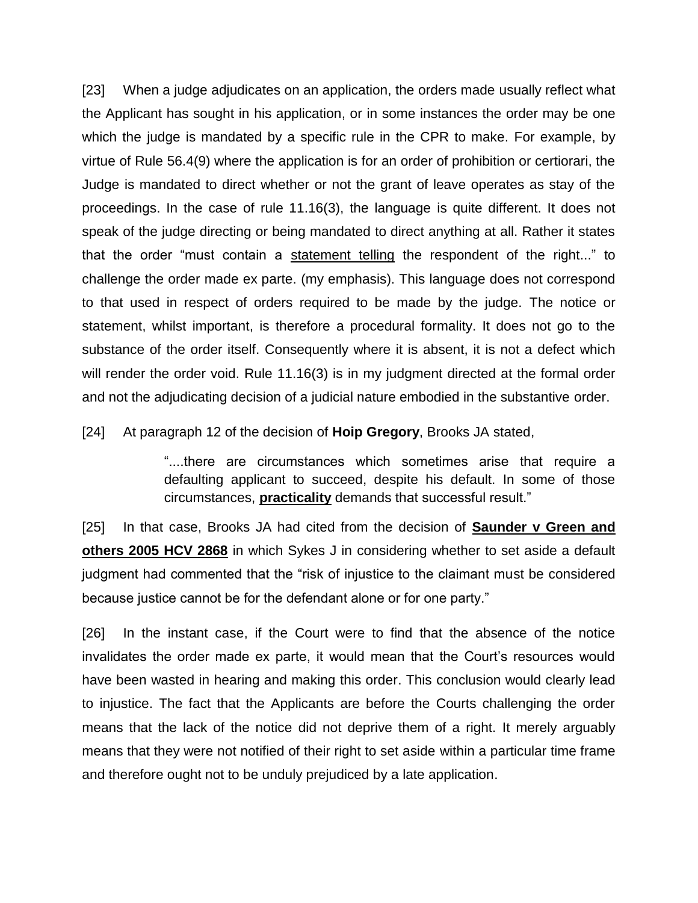[23] When a judge adjudicates on an application, the orders made usually reflect what the Applicant has sought in his application, or in some instances the order may be one which the judge is mandated by a specific rule in the CPR to make. For example, by virtue of Rule 56.4(9) where the application is for an order of prohibition or certiorari, the Judge is mandated to direct whether or not the grant of leave operates as stay of the proceedings. In the case of rule 11.16(3), the language is quite different. It does not speak of the judge directing or being mandated to direct anything at all. Rather it states that the order "must contain a statement telling the respondent of the right..." to challenge the order made ex parte. (my emphasis). This language does not correspond to that used in respect of orders required to be made by the judge. The notice or statement, whilst important, is therefore a procedural formality. It does not go to the substance of the order itself. Consequently where it is absent, it is not a defect which will render the order void. Rule 11.16(3) is in my judgment directed at the formal order and not the adjudicating decision of a judicial nature embodied in the substantive order.

[24] At paragraph 12 of the decision of **Hoip Gregory**, Brooks JA stated,

"....there are circumstances which sometimes arise that require a defaulting applicant to succeed, despite his default. In some of those circumstances, **practicality** demands that successful result."

[25] In that case, Brooks JA had cited from the decision of **Saunder v Green and others 2005 HCV 2868** in which Sykes J in considering whether to set aside a default judgment had commented that the "risk of injustice to the claimant must be considered because justice cannot be for the defendant alone or for one party."

[26] In the instant case, if the Court were to find that the absence of the notice invalidates the order made ex parte, it would mean that the Court's resources would have been wasted in hearing and making this order. This conclusion would clearly lead to injustice. The fact that the Applicants are before the Courts challenging the order means that the lack of the notice did not deprive them of a right. It merely arguably means that they were not notified of their right to set aside within a particular time frame and therefore ought not to be unduly prejudiced by a late application.